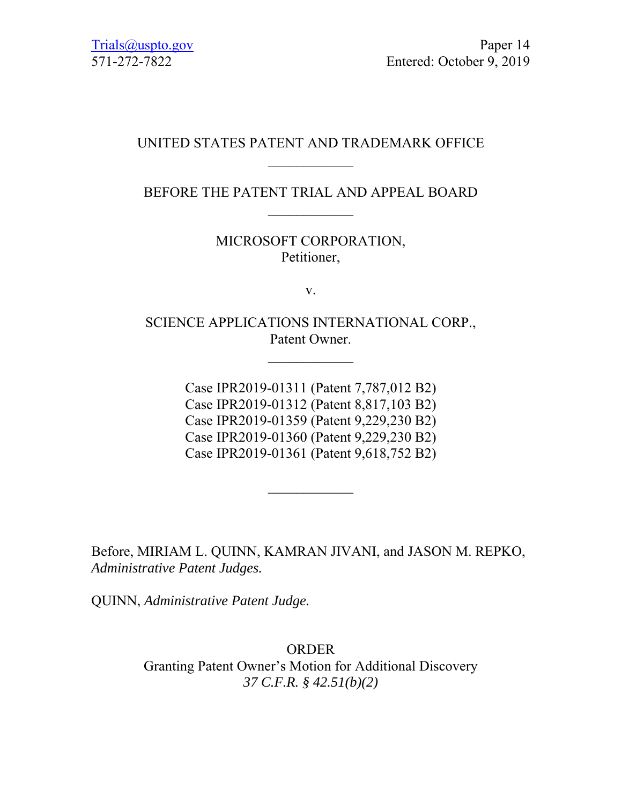# UNITED STATES PATENT AND TRADEMARK OFFICE  $\frac{1}{2}$

## BEFORE THE PATENT TRIAL AND APPEAL BOARD

MICROSOFT CORPORATION, Petitioner,

v.

SCIENCE APPLICATIONS INTERNATIONAL CORP., Patent Owner.

 $\frac{1}{2}$ 

Case IPR2019-01311 (Patent 7,787,012 B2) Case IPR2019-01312 (Patent 8,817,103 B2) Case IPR2019-01359 (Patent 9,229,230 B2) Case IPR2019-01360 (Patent 9,229,230 B2) Case IPR2019-01361 (Patent 9,618,752 B2)

Before, MIRIAM L. QUINN, KAMRAN JIVANI, and JASON M. REPKO, *Administrative Patent Judges.* 

QUINN, *Administrative Patent Judge.* 

ORDER Granting Patent Owner's Motion for Additional Discovery *37 C.F.R. § 42.51(b)(2)*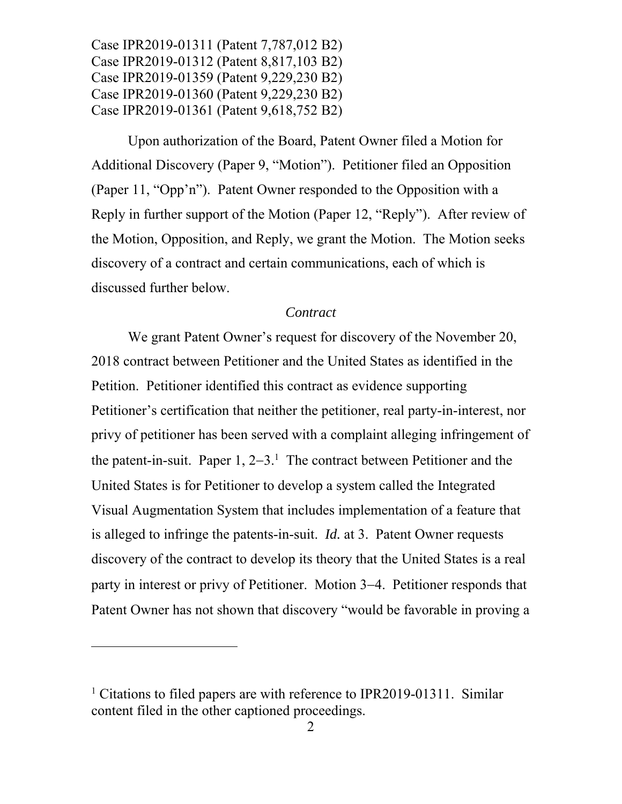Upon authorization of the Board, Patent Owner filed a Motion for Additional Discovery (Paper 9, "Motion"). Petitioner filed an Opposition (Paper 11, "Opp'n"). Patent Owner responded to the Opposition with a Reply in further support of the Motion (Paper 12, "Reply"). After review of the Motion, Opposition, and Reply, we grant the Motion. The Motion seeks discovery of a contract and certain communications, each of which is discussed further below.

#### *Contract*

We grant Patent Owner's request for discovery of the November 20, 2018 contract between Petitioner and the United States as identified in the Petition. Petitioner identified this contract as evidence supporting Petitioner's certification that neither the petitioner, real party-in-interest, nor privy of petitioner has been served with a complaint alleging infringement of the patent-in-suit. Paper  $1, 2-3$ <sup>1</sup> The contract between Petitioner and the United States is for Petitioner to develop a system called the Integrated Visual Augmentation System that includes implementation of a feature that is alleged to infringe the patents-in-suit. *Id.* at 3. Patent Owner requests discovery of the contract to develop its theory that the United States is a real party in interest or privy of Petitioner. Motion 3–4. Petitioner responds that Patent Owner has not shown that discovery "would be favorable in proving a

-

<sup>&</sup>lt;sup>1</sup> Citations to filed papers are with reference to IPR2019-01311. Similar content filed in the other captioned proceedings.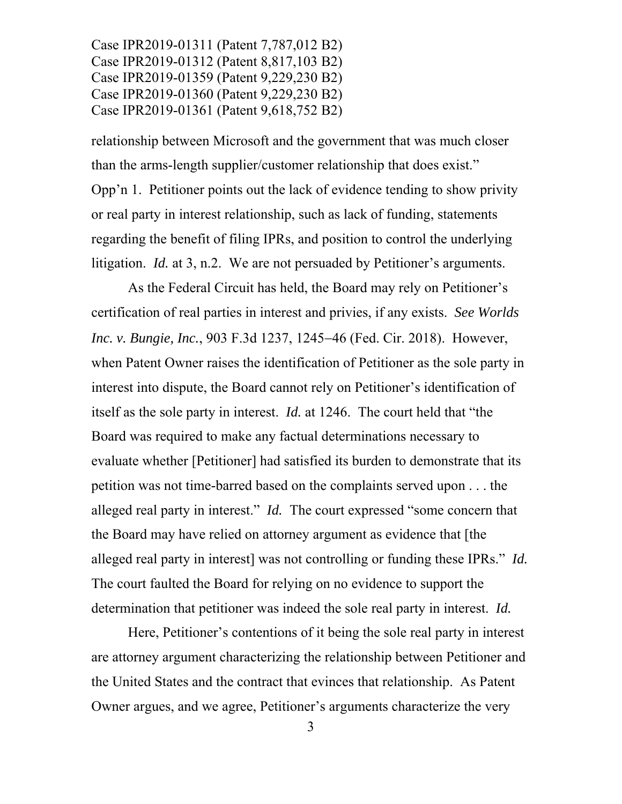relationship between Microsoft and the government that was much closer than the arms-length supplier/customer relationship that does exist." Opp'n 1. Petitioner points out the lack of evidence tending to show privity or real party in interest relationship, such as lack of funding, statements regarding the benefit of filing IPRs, and position to control the underlying litigation. *Id.* at 3, n.2. We are not persuaded by Petitioner's arguments.

As the Federal Circuit has held, the Board may rely on Petitioner's certification of real parties in interest and privies, if any exists. *See Worlds Inc. v. Bungie, Inc.*, 903 F.3d 1237, 1245–46 (Fed. Cir. 2018). However, when Patent Owner raises the identification of Petitioner as the sole party in interest into dispute, the Board cannot rely on Petitioner's identification of itself as the sole party in interest. *Id.* at 1246. The court held that "the Board was required to make any factual determinations necessary to evaluate whether [Petitioner] had satisfied its burden to demonstrate that its petition was not time-barred based on the complaints served upon . . . the alleged real party in interest." *Id.* The court expressed "some concern that the Board may have relied on attorney argument as evidence that [the alleged real party in interest] was not controlling or funding these IPRs." *Id.* The court faulted the Board for relying on no evidence to support the determination that petitioner was indeed the sole real party in interest. *Id.*

Here, Petitioner's contentions of it being the sole real party in interest are attorney argument characterizing the relationship between Petitioner and the United States and the contract that evinces that relationship. As Patent Owner argues, and we agree, Petitioner's arguments characterize the very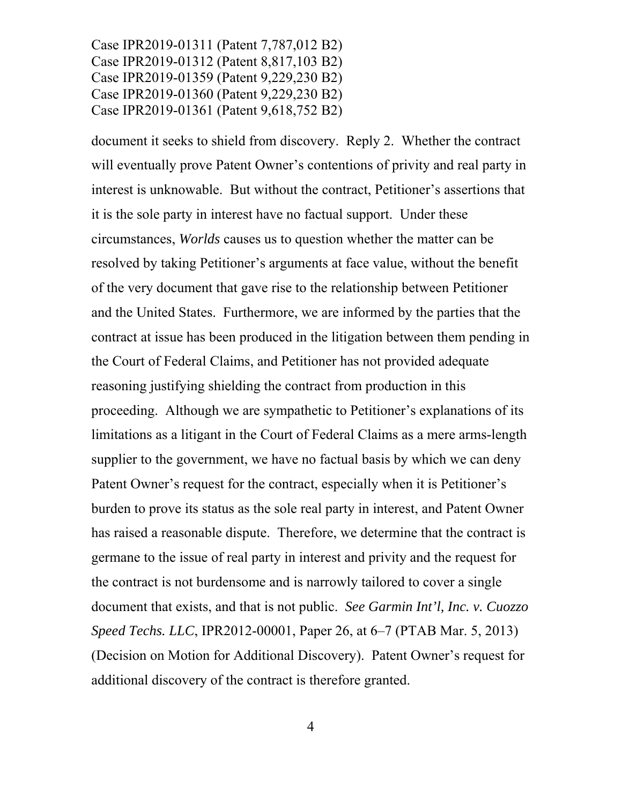document it seeks to shield from discovery. Reply 2. Whether the contract will eventually prove Patent Owner's contentions of privity and real party in interest is unknowable. But without the contract, Petitioner's assertions that it is the sole party in interest have no factual support. Under these circumstances, *Worlds* causes us to question whether the matter can be resolved by taking Petitioner's arguments at face value, without the benefit of the very document that gave rise to the relationship between Petitioner and the United States. Furthermore, we are informed by the parties that the contract at issue has been produced in the litigation between them pending in the Court of Federal Claims, and Petitioner has not provided adequate reasoning justifying shielding the contract from production in this proceeding. Although we are sympathetic to Petitioner's explanations of its limitations as a litigant in the Court of Federal Claims as a mere arms-length supplier to the government, we have no factual basis by which we can deny Patent Owner's request for the contract, especially when it is Petitioner's burden to prove its status as the sole real party in interest, and Patent Owner has raised a reasonable dispute. Therefore, we determine that the contract is germane to the issue of real party in interest and privity and the request for the contract is not burdensome and is narrowly tailored to cover a single document that exists, and that is not public. *See Garmin Int'l, Inc. v. Cuozzo Speed Techs. LLC*, IPR2012-00001, Paper 26, at 6–7 (PTAB Mar. 5, 2013) (Decision on Motion for Additional Discovery). Patent Owner's request for additional discovery of the contract is therefore granted.

4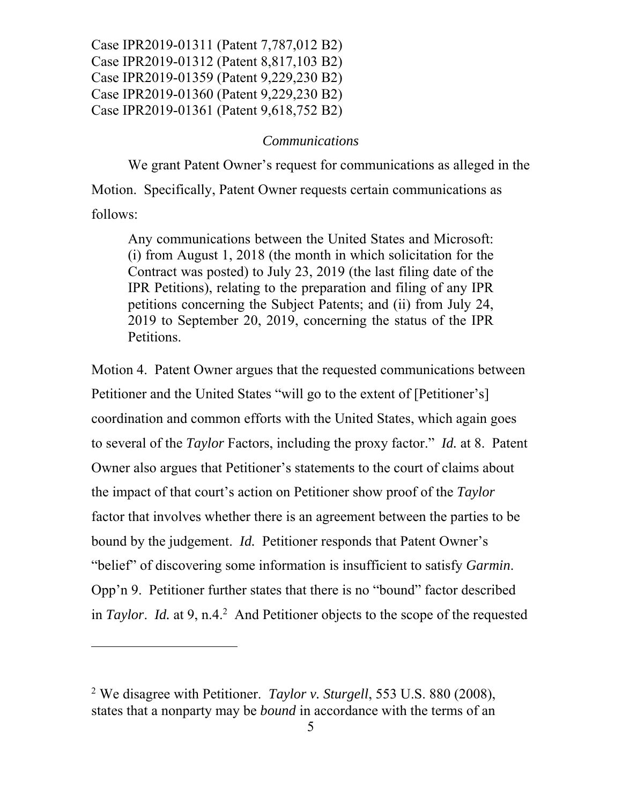### *Communications*

We grant Patent Owner's request for communications as alleged in the Motion. Specifically, Patent Owner requests certain communications as follows:

Any communications between the United States and Microsoft: (i) from August 1, 2018 (the month in which solicitation for the Contract was posted) to July 23, 2019 (the last filing date of the IPR Petitions), relating to the preparation and filing of any IPR petitions concerning the Subject Patents; and (ii) from July 24, 2019 to September 20, 2019, concerning the status of the IPR Petitions.

Motion 4. Patent Owner argues that the requested communications between Petitioner and the United States "will go to the extent of [Petitioner's] coordination and common efforts with the United States, which again goes to several of the *Taylor* Factors, including the proxy factor." *Id.* at 8. Patent Owner also argues that Petitioner's statements to the court of claims about the impact of that court's action on Petitioner show proof of the *Taylor*  factor that involves whether there is an agreement between the parties to be bound by the judgement. *Id.* Petitioner responds that Patent Owner's "belief" of discovering some information is insufficient to satisfy *Garmin*. Opp'n 9. Petitioner further states that there is no "bound" factor described in *Taylor. Id.* at 9, n.4.<sup>2</sup> And Petitioner objects to the scope of the requested

-

<sup>2</sup> We disagree with Petitioner. *Taylor v. Sturgell*, 553 U.S. 880 (2008), states that a nonparty may be *bound* in accordance with the terms of an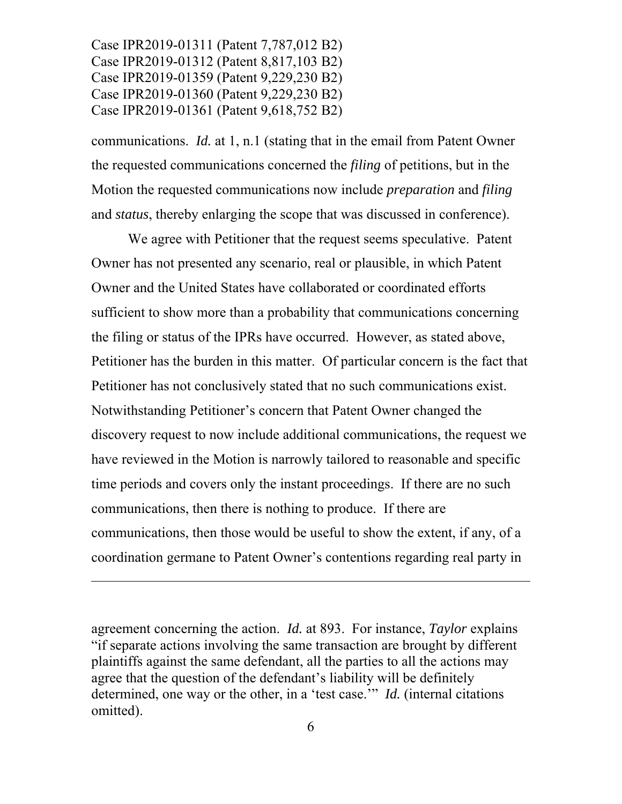$\overline{a}$ 

communications. *Id.* at 1, n.1 (stating that in the email from Patent Owner the requested communications concerned the *filing* of petitions, but in the Motion the requested communications now include *preparation* and *filing* and *status*, thereby enlarging the scope that was discussed in conference).

We agree with Petitioner that the request seems speculative. Patent Owner has not presented any scenario, real or plausible, in which Patent Owner and the United States have collaborated or coordinated efforts sufficient to show more than a probability that communications concerning the filing or status of the IPRs have occurred. However, as stated above, Petitioner has the burden in this matter. Of particular concern is the fact that Petitioner has not conclusively stated that no such communications exist. Notwithstanding Petitioner's concern that Patent Owner changed the discovery request to now include additional communications, the request we have reviewed in the Motion is narrowly tailored to reasonable and specific time periods and covers only the instant proceedings. If there are no such communications, then there is nothing to produce. If there are communications, then those would be useful to show the extent, if any, of a coordination germane to Patent Owner's contentions regarding real party in

agreement concerning the action. *Id.* at 893. For instance, *Taylor* explains "if separate actions involving the same transaction are brought by different plaintiffs against the same defendant, all the parties to all the actions may agree that the question of the defendant's liability will be definitely determined, one way or the other, in a 'test case.'" *Id.* (internal citations omitted).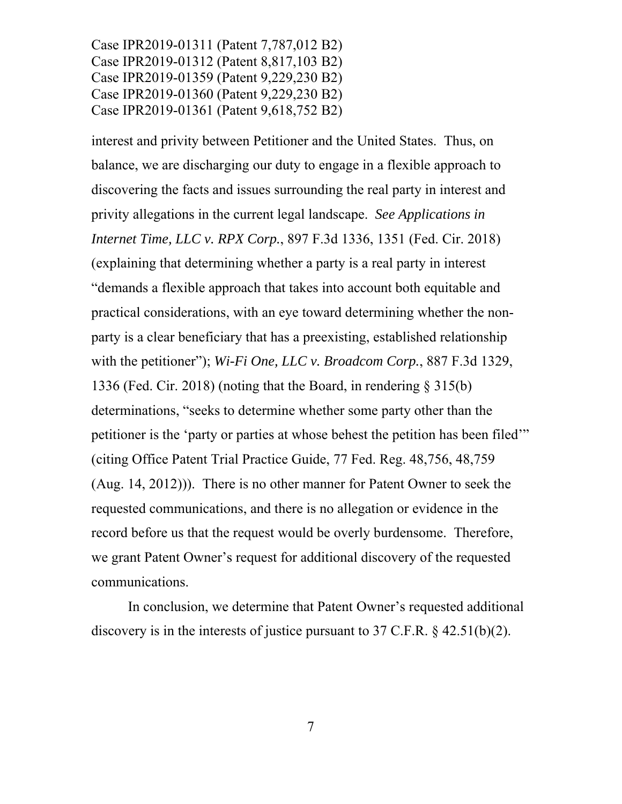interest and privity between Petitioner and the United States. Thus, on balance, we are discharging our duty to engage in a flexible approach to discovering the facts and issues surrounding the real party in interest and privity allegations in the current legal landscape. *See Applications in Internet Time, LLC v. RPX Corp.*, 897 F.3d 1336, 1351 (Fed. Cir. 2018) (explaining that determining whether a party is a real party in interest "demands a flexible approach that takes into account both equitable and practical considerations, with an eye toward determining whether the nonparty is a clear beneficiary that has a preexisting, established relationship with the petitioner"); *Wi-Fi One, LLC v. Broadcom Corp.*, 887 F.3d 1329, 1336 (Fed. Cir. 2018) (noting that the Board, in rendering § 315(b) determinations, "seeks to determine whether some party other than the petitioner is the 'party or parties at whose behest the petition has been filed'" (citing Office Patent Trial Practice Guide, 77 Fed. Reg. 48,756, 48,759 (Aug. 14, 2012))). There is no other manner for Patent Owner to seek the requested communications, and there is no allegation or evidence in the record before us that the request would be overly burdensome. Therefore, we grant Patent Owner's request for additional discovery of the requested communications.

In conclusion, we determine that Patent Owner's requested additional discovery is in the interests of justice pursuant to 37 C.F.R. § 42.51(b)(2).

7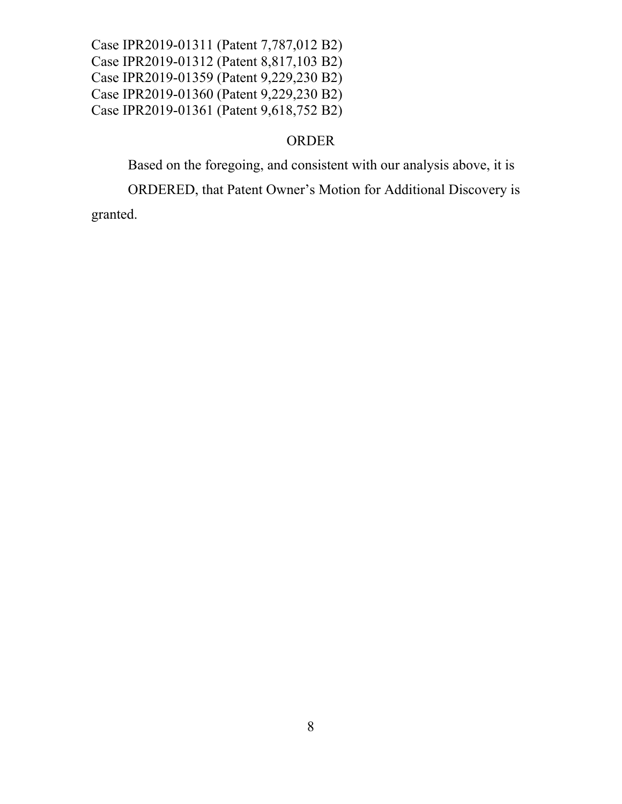# ORDER

Based on the foregoing, and consistent with our analysis above, it is

ORDERED, that Patent Owner's Motion for Additional Discovery is

granted.